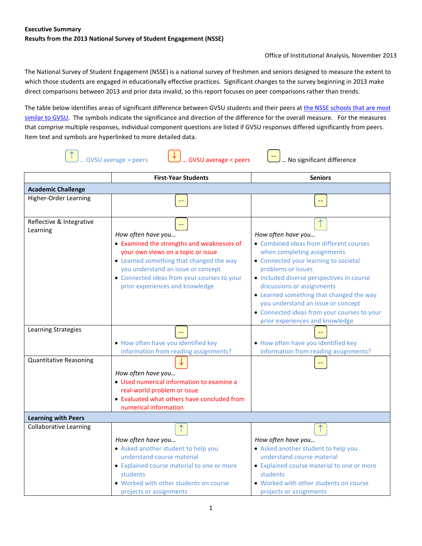Office of Institutional Analysis, November 2013

The National Survey of Student Engagement (NSSE) is a national survey of freshmen and seniors designed to measure the extent to which those students are engaged in educationally effective practices. Significant changes to the survey beginning in 2013 make direct comparisons between 2013 and prior data invalid, so this report focuses on peer comparisons rather than trends.

The table below identifies areas of significant difference between GVSU students and their peers at the NSSE schools that are most similar [to GVSU.](http://reports.ia.gvsu.edu/pdf/NSSE13_Selected_Comparison_Groups_%28GVSU%29.pdf#pagemode=bookmarks&page=5) The symbols indicate the significance and direction of the difference for the overall measure. For the measures that comprise multiple responses, individual component questions are listed if GVSU responses differed significantly from peers. Item text and symbols are hyperlinked to more detailed data.

|                                      |                                                                                                                                                                                                                                                                                                                             | <b>GVSU</b> average < peers<br><b>GVSU</b> average > peers<br>No significant difference                                                                                                                                                                                                                                                                                                                    |  |  |  |
|--------------------------------------|-----------------------------------------------------------------------------------------------------------------------------------------------------------------------------------------------------------------------------------------------------------------------------------------------------------------------------|------------------------------------------------------------------------------------------------------------------------------------------------------------------------------------------------------------------------------------------------------------------------------------------------------------------------------------------------------------------------------------------------------------|--|--|--|
|                                      | <b>First-Year Students</b>                                                                                                                                                                                                                                                                                                  | <b>Seniors</b>                                                                                                                                                                                                                                                                                                                                                                                             |  |  |  |
| <b>Academic Challenge</b>            |                                                                                                                                                                                                                                                                                                                             |                                                                                                                                                                                                                                                                                                                                                                                                            |  |  |  |
| <b>Higher-Order Learning</b>         | ц.,                                                                                                                                                                                                                                                                                                                         |                                                                                                                                                                                                                                                                                                                                                                                                            |  |  |  |
| Reflective & Integrative<br>Learning | $\mathord{\hspace{1pt}\text{--}\hspace{1pt}}$<br>How often have you<br>• Examined the strengths and weaknesses of<br>your own views on a topic or issue<br>• Learned something that changed the way<br>you understand an issue or concept<br>• Connected ideas from your courses to your<br>prior experiences and knowledge | How often have you<br>• Combined ideas from different courses<br>when completing assignments<br>• Connected your learning to societal<br>problems or issues<br>· Included diverse perspectives in course<br>discussions or assignments<br>• Learned something that changed the way<br>you understand an issue or concept<br>• Connected ideas from your courses to your<br>prior experiences and knowledge |  |  |  |
| Learning Strategies                  | . How often have you identified key<br>information from reading assignments?                                                                                                                                                                                                                                                | . How often have you identified key<br>information from reading assignments?                                                                                                                                                                                                                                                                                                                               |  |  |  |
| <b>Quantitative Reasoning</b>        | How often have you<br>• Used numerical information to examine a<br>real-world problem or issue<br>• Evaluated what others have concluded from<br>numerical information                                                                                                                                                      |                                                                                                                                                                                                                                                                                                                                                                                                            |  |  |  |
| <b>Learning with Peers</b>           |                                                                                                                                                                                                                                                                                                                             |                                                                                                                                                                                                                                                                                                                                                                                                            |  |  |  |
| <b>Collaborative Learning</b>        | ↑<br>How often have you<br>• Asked another student to help you<br>understand course material<br>• Explained course material to one or more<br>students<br>. Worked with other students on course                                                                                                                            | How often have you<br>• Asked another student to help you<br>understand course material<br>• Explained course material to one or more<br>students<br>. Worked with other students on course                                                                                                                                                                                                                |  |  |  |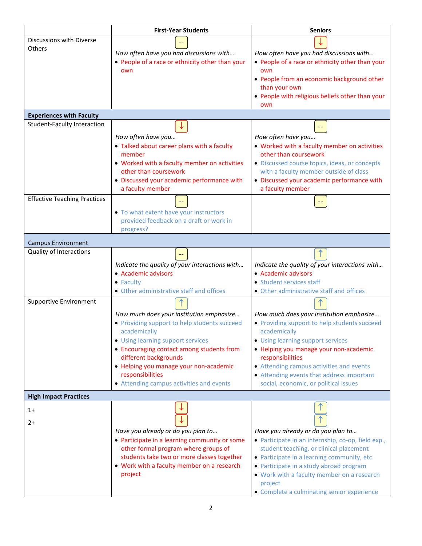|                                     | <b>First-Year Students</b>                                                                                                                                                                                                                                                                                                    | <b>Seniors</b>                                                                                                                                                                                                                                                                                                                                |
|-------------------------------------|-------------------------------------------------------------------------------------------------------------------------------------------------------------------------------------------------------------------------------------------------------------------------------------------------------------------------------|-----------------------------------------------------------------------------------------------------------------------------------------------------------------------------------------------------------------------------------------------------------------------------------------------------------------------------------------------|
| Discussions with Diverse<br>Others  | How often have you had discussions with<br>• People of a race or ethnicity other than your<br>own                                                                                                                                                                                                                             | How often have you had discussions with<br>• People of a race or ethnicity other than your<br>own<br>• People from an economic background other<br>than your own<br>• People with religious beliefs other than your<br>own                                                                                                                    |
| <b>Experiences with Faculty</b>     |                                                                                                                                                                                                                                                                                                                               |                                                                                                                                                                                                                                                                                                                                               |
| Student-Faculty Interaction         | How often have you<br>• Talked about career plans with a faculty<br>member<br>• Worked with a faculty member on activities<br>other than coursework<br>· Discussed your academic performance with<br>a faculty member                                                                                                         | How often have you<br>• Worked with a faculty member on activities<br>other than coursework<br>· Discussed course topics, ideas, or concepts<br>with a faculty member outside of class<br>• Discussed your academic performance with<br>a faculty member                                                                                      |
| <b>Effective Teaching Practices</b> | • To what extent have your instructors<br>provided feedback on a draft or work in<br>progress?                                                                                                                                                                                                                                |                                                                                                                                                                                                                                                                                                                                               |
| <b>Campus Environment</b>           |                                                                                                                                                                                                                                                                                                                               |                                                                                                                                                                                                                                                                                                                                               |
| Quality of Interactions             | Indicate the quality of your interactions with<br>• Academic advisors<br>$\bullet$ Faculty<br>• Other administrative staff and offices                                                                                                                                                                                        | Indicate the quality of your interactions with<br>• Academic advisors<br>• Student services staff<br>• Other administrative staff and offices                                                                                                                                                                                                 |
| <b>Supportive Environment</b>       | How much does your institution emphasize<br>• Providing support to help students succeed<br>academically<br>• Using learning support services<br>• Encouraging contact among students from<br>different backgrounds<br>• Helping you manage your non-academic<br>responsibilities<br>• Attending campus activities and events | How much does your institution emphasize<br>• Providing support to help students succeed<br>academically<br>• Using learning support services<br>· Helping you manage your non-academic<br>responsibilities<br>• Attending campus activities and events<br>• Attending events that address important<br>social, economic, or political issues |
| <b>High Impact Practices</b>        |                                                                                                                                                                                                                                                                                                                               |                                                                                                                                                                                                                                                                                                                                               |
| $1+$<br>$2+$                        | Have you already or do you plan to<br>• Participate in a learning community or some<br>other formal program where groups of<br>students take two or more classes together<br>• Work with a faculty member on a research<br>project                                                                                            | Have you already or do you plan to<br>• Participate in an internship, co-op, field exp.,<br>student teaching, or clinical placement<br>• Participate in a learning community, etc.<br>• Participate in a study abroad program<br>• Work with a faculty member on a research<br>project<br>• Complete a culminating senior experience          |